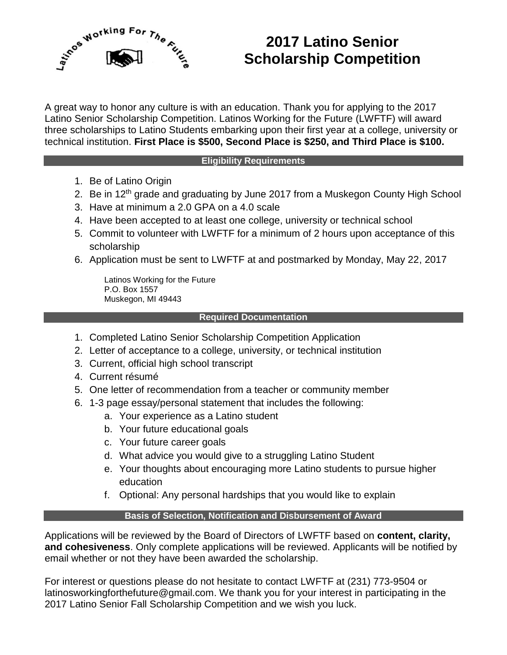

## **2017 Latino Senior Scholarship Competition**

A great way to honor any culture is with an education. Thank you for applying to the 2017 Latino Senior Scholarship Competition. Latinos Working for the Future (LWFTF) will award three scholarships to Latino Students embarking upon their first year at a college, university or technical institution. **First Place is \$500, Second Place is \$250, and Third Place is \$100.**

#### **Eligibility Requirements**

- 1. Be of Latino Origin
- 2. Be in 12<sup>th</sup> grade and graduating by June 2017 from a Muskegon County High School
- 3. Have at minimum a 2.0 GPA on a 4.0 scale
- 4. Have been accepted to at least one college, university or technical school
- 5. Commit to volunteer with LWFTF for a minimum of 2 hours upon acceptance of this scholarship
- 6. Application must be sent to LWFTF at and postmarked by Monday, May 22, 2017

Latinos Working for the Future P.O. Box 1557 Muskegon, MI 49443

#### **Required Documentation**

- 1. Completed Latino Senior Scholarship Competition Application
- 2. Letter of acceptance to a college, university, or technical institution
- 3. Current, official high school transcript
- 4. Current résumé
- 5. One letter of recommendation from a teacher or community member
- 6. 1-3 page essay/personal statement that includes the following:
	- a. Your experience as a Latino student
	- b. Your future educational goals
	- c. Your future career goals
	- d. What advice you would give to a struggling Latino Student
	- e. Your thoughts about encouraging more Latino students to pursue higher education
	- f. Optional: Any personal hardships that you would like to explain

### **Basis of Selection, Notification and Disbursement of Award**

Applications will be reviewed by the Board of Directors of LWFTF based on **content, clarity, and cohesiveness**. Only complete applications will be reviewed. Applicants will be notified by email whether or not they have been awarded the scholarship.

For interest or questions please do not hesitate to contact LWFTF at (231) 773-9504 or latinosworkingforthefuture@gmail.com. We thank you for your interest in participating in the 2017 Latino Senior Fall Scholarship Competition and we wish you luck.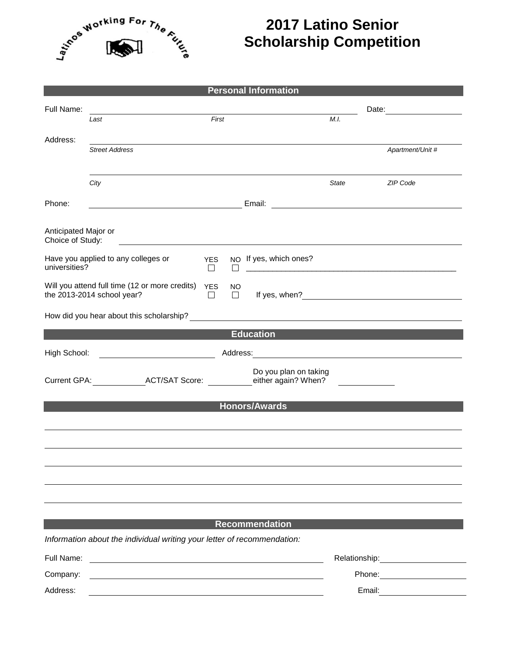

# **2017 Latino Senior Scholarship Competition**

|                                                    |                                                                                                                      |                           | <b>Personal Information</b>                                                                                            |        |                                                                                                                                                                                                                                |  |  |  |
|----------------------------------------------------|----------------------------------------------------------------------------------------------------------------------|---------------------------|------------------------------------------------------------------------------------------------------------------------|--------|--------------------------------------------------------------------------------------------------------------------------------------------------------------------------------------------------------------------------------|--|--|--|
| Full Name:                                         |                                                                                                                      |                           |                                                                                                                        |        | Date: ________________                                                                                                                                                                                                         |  |  |  |
|                                                    | Last                                                                                                                 | First                     |                                                                                                                        | M.I.   |                                                                                                                                                                                                                                |  |  |  |
| Address:                                           |                                                                                                                      |                           |                                                                                                                        |        |                                                                                                                                                                                                                                |  |  |  |
|                                                    | <b>Street Address</b>                                                                                                |                           |                                                                                                                        |        | Apartment/Unit #                                                                                                                                                                                                               |  |  |  |
|                                                    |                                                                                                                      |                           |                                                                                                                        |        |                                                                                                                                                                                                                                |  |  |  |
|                                                    | City                                                                                                                 |                           |                                                                                                                        | State  | ZIP Code                                                                                                                                                                                                                       |  |  |  |
| Phone:                                             | Email: <u>______________________________</u>                                                                         |                           |                                                                                                                        |        |                                                                                                                                                                                                                                |  |  |  |
|                                                    |                                                                                                                      |                           |                                                                                                                        |        |                                                                                                                                                                                                                                |  |  |  |
| Anticipated Major or<br>Choice of Study:           |                                                                                                                      |                           |                                                                                                                        |        |                                                                                                                                                                                                                                |  |  |  |
|                                                    | Have you applied to any colleges or                                                                                  |                           | NO If yes, which ones?                                                                                                 |        |                                                                                                                                                                                                                                |  |  |  |
| universities?                                      |                                                                                                                      | <b>YES</b><br>$\Box$<br>П | <u> 1989 - Johann Stein, markin fan de Frysk kampen oantal fan de Fryske kampen oantal fan de Fryske kampen oantal</u> |        |                                                                                                                                                                                                                                |  |  |  |
|                                                    | Will you attend full time (12 or more credits)                                                                       | <b>YES</b><br>NO.         |                                                                                                                        |        |                                                                                                                                                                                                                                |  |  |  |
|                                                    | the 2013-2014 school year?                                                                                           | $\Box$<br>$\Box$          |                                                                                                                        |        |                                                                                                                                                                                                                                |  |  |  |
|                                                    |                                                                                                                      |                           |                                                                                                                        |        |                                                                                                                                                                                                                                |  |  |  |
|                                                    |                                                                                                                      |                           | <b>Education</b>                                                                                                       |        |                                                                                                                                                                                                                                |  |  |  |
| High School:                                       | <u> 1990 - Johann Barbara, martin a</u>                                                                              |                           |                                                                                                                        |        |                                                                                                                                                                                                                                |  |  |  |
|                                                    |                                                                                                                      |                           | Do you plan on taking                                                                                                  |        |                                                                                                                                                                                                                                |  |  |  |
| Current GPA: ACT/SAT Score:<br>either again? When? |                                                                                                                      |                           |                                                                                                                        |        |                                                                                                                                                                                                                                |  |  |  |
| <b>Honors/Awards</b>                               |                                                                                                                      |                           |                                                                                                                        |        |                                                                                                                                                                                                                                |  |  |  |
|                                                    |                                                                                                                      |                           |                                                                                                                        |        |                                                                                                                                                                                                                                |  |  |  |
|                                                    |                                                                                                                      |                           |                                                                                                                        |        |                                                                                                                                                                                                                                |  |  |  |
|                                                    |                                                                                                                      |                           |                                                                                                                        |        |                                                                                                                                                                                                                                |  |  |  |
|                                                    |                                                                                                                      |                           |                                                                                                                        |        |                                                                                                                                                                                                                                |  |  |  |
|                                                    |                                                                                                                      |                           |                                                                                                                        |        |                                                                                                                                                                                                                                |  |  |  |
|                                                    |                                                                                                                      |                           |                                                                                                                        |        |                                                                                                                                                                                                                                |  |  |  |
|                                                    |                                                                                                                      |                           | <b>Recommendation</b>                                                                                                  |        |                                                                                                                                                                                                                                |  |  |  |
|                                                    | Information about the individual writing your letter of recommendation:                                              |                           |                                                                                                                        |        |                                                                                                                                                                                                                                |  |  |  |
| Full Name:                                         |                                                                                                                      |                           |                                                                                                                        |        | Relationship: example and the set of the set of the set of the set of the set of the set of the set of the set of the set of the set of the set of the set of the set of the set of the set of the set of the set of the set o |  |  |  |
| Company:                                           | <u> 1980 - Jan Samuel Barbara, margaret e populari e populari e populari e populari e populari e populari e popu</u> |                           |                                                                                                                        |        | Phone: <u>____________</u>                                                                                                                                                                                                     |  |  |  |
| Address:                                           |                                                                                                                      |                           |                                                                                                                        | Email: | <u> 1990 - Johann Barbara, martin a</u>                                                                                                                                                                                        |  |  |  |